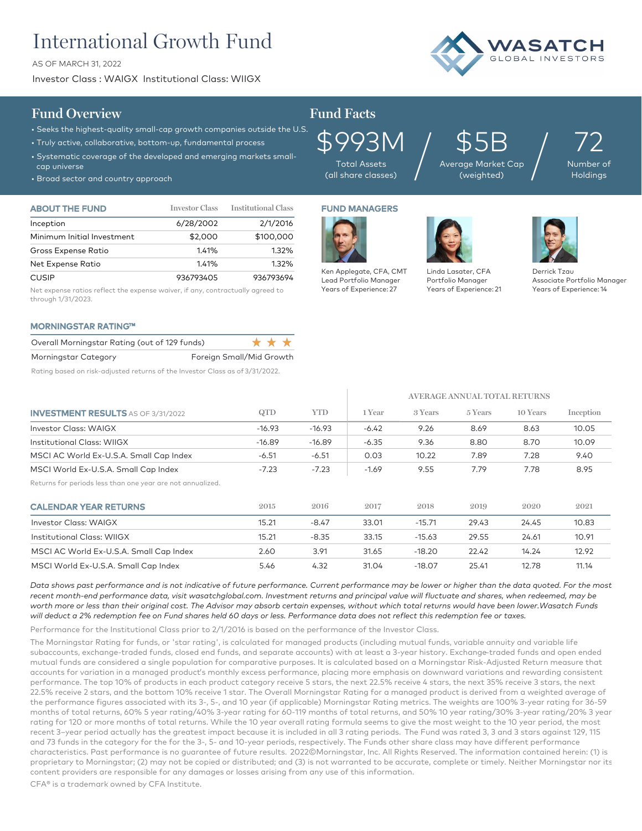# International Growth Fund

AS OF MARCH 31, 2022

Investor Class : WAIGX Institutional Class: WIIGX



# **Fund Overview Fund Facts**

## • Seeks the highest-quality small-cap growth companies outside the U.S.

- Truly active, collaborative, bottom-up, fundamental process
- Systematic coverage of the developed and emerging markets smallcap universe
- Broad sector and country approach

| <b>ABOUT THE FUND</b>      | <b>Investor Class</b> | <b>Institutional Class</b> |
|----------------------------|-----------------------|----------------------------|
| Inception                  | 6/28/2002             | 2/1/2016                   |
| Minimum Initial Investment | \$2,000               | \$100,000                  |
| Gross Expense Ratio        | 1.41%                 | 1.32%                      |
| Net Expense Ratio          | 1.41%                 | 1.32%                      |
| <b>CUSIP</b>               | 936793405             | 936793694                  |

Net expense ratios reflect the expense waiver, if any, contractually agreed to through 1/31/2023.

### MORNINGSTAR RATING™

| Overall Morningstar Rating (out of 129 funds) |                          |  | * * * * |
|-----------------------------------------------|--------------------------|--|---------|
| Morningstar Category                          | Foreign Small/Mid Growth |  |         |

Rating based on risk-adjusted returns of the Investor Class as of 3/31/2022.



Total Assets (all share classes)

Ken Applegate, CFA, CMT Lead Portfolio Manager Years of Experience: 27

\$5B Average Market Cap  $\mathfrak{P5B}_{\tiny{\mathsf{age}}\, \tiny{\mathsf{Market Cap}}} \Big/$ 

72 Number of Holdings

# FUND MANAGERS



Years of Experience: 21

**AVERAGE ANNUAL TOTAL RETURNS**

Portfolio Manager



Derrick Tzau Associate Portfolio Manager Years of Experience: 14

| <b>INVESTMENT RESULTS</b> AS OF 3/31/2022                  | QTD      | <b>YTD</b> | 1 Year  | 3 Years  | 5 Years | 10 Years | Inception |
|------------------------------------------------------------|----------|------------|---------|----------|---------|----------|-----------|
| Investor Class: WAIGX                                      | $-16.93$ | $-16.93$   | $-6.42$ | 9.26     | 8.69    | 8.63     | 10.05     |
| Institutional Class: WIIGX                                 | $-16.89$ | $-16.89$   | $-6.35$ | 9.36     | 8.80    | 8.70     | 10.09     |
| MSCI AC World Ex-U.S.A. Small Cap Index                    | $-6.51$  | $-6.51$    | 0.03    | 10.22    | 7.89    | 7.28     | 9.40      |
| MSCI World Ex-U.S.A. Small Cap Index                       | $-7.23$  | $-7.23$    | $-1.69$ | 9.55     | 7.79    | 7.78     | 8.95      |
| Returns for periods less than one year are not annualized. |          |            |         |          |         |          |           |
| <b>CALENDAR YEAR RETURNS</b>                               | 2015     | 2016       | 2017    | 2018     | 2019    | 2020     | 2021      |
| Investor Class: WAIGX                                      | 15.21    | $-8.47$    | 33.01   | $-15.71$ | 29.43   | 24.45    | 10.83     |
| Institutional Class: WIIGX                                 | 15.21    | $-8.35$    | 33.15   | $-15.63$ | 29.55   | 24.61    | 10.91     |
| MSCI AC World Ex-U.S.A. Small Cap Index                    | 2.60     | 3.91       | 31.65   | $-18.20$ | 22.42   | 14.24    | 12.92     |
| MSCI World Ex-U.S.A. Small Cap Index                       | 5.46     | 4.32       | 31.04   | $-18.07$ | 25.41   | 12.78    | 11.14     |

*Data shows past performance and is not indicative of future performance. Current performance may be lower or higher than the data quoted. For the most*  recent month-end performance data, visit wasatchglobal.com. Investment returns and principal value will fluctuate and shares, when redeemed, may be *worth more or less than their original cost. The Advisor may absorb certain expenses, without which total returns would have been lower.Wasatch Funds will deduct a 2% redemption fee on Fund shares held 60 days or less. Performance data does not reflect this redemption fee or taxes.*

Performance for the Institutional Class prior to 2/1/2016 is based on the performance of the Investor Class.

The Morningstar Rating for funds, or 'star rating', is calculated for managed products (including mutual funds, variable annuity and variable life subaccounts, exchange-traded funds, closed end funds, and separate accounts) with at least a 3-year history. Exchange–traded funds and open ended mutual funds are considered a single population for comparative purposes. It is calculated based on a Morningstar Risk-Adjusted Return measure that accounts for variation in a managed product's monthly excess performance, placing more emphasis on downward variations and rewarding consistent performance. The top 10% of products in each product category receive 5 stars, the next 22.5% receive 4 stars, the next 35% receive 3 stars, the next 22.5% receive 2 stars, and the bottom 10% receive 1 star. The Overall Morningstar Rating for a managed product is derived from a weighted average of the performance figures associated with its 3-, 5-, and 10 year (if applicable) Morningstar Rating metrics. The weights are 100% 3-year rating for 36-59 months of total returns, 60% 5 year rating/40% 3-year rating for 60-119 months of total returns, and 50% 10 year rating/30% 3-year rating/20% 3 year rating for 120 or more months of total returns. While the 10 year overall rating formula seems to give the most weight to the 10 year period, the most recent 3–year period actually has the greatest impact because it is included in all 3 rating periods. The Fund was rated 3, 3 and 3 stars against 129, 115 and 73 funds in the category for the for the 3-, 5- and 10-year periods, respectively. The Funds other share class may have different performance characteristics. Past performance is no guarantee of future results. 2022©Morningstar, Inc. All Rights Reserved. The information contained herein: (1) is proprietary to Morningstar; (2) may not be copied or distributed; and (3) is not warranted to be accurate, complete or timely. Neither Morningstar nor its content providers are responsible for any damages or losses arising from any use of this information.

CFA® is a trademark owned by CFA Institute.